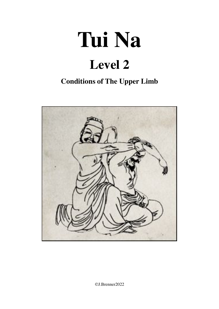# **Tui Na Level 2**

## **Conditions of The Upper Limb**



©J.Brenner2022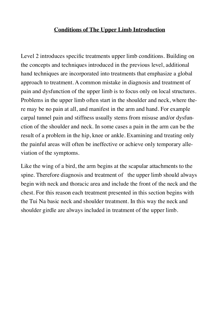#### **Conditions of The Upper Limb Introduction**

Level 2 introduces specific treatments upper limb conditions. Building on the concepts and techniques introduced in the previous level, additional hand techniques are incorporated into treatments that emphasize a global approach to treatment. A common mistake in diagnosis and treatment of pain and dysfunction of the upper limb is to focus only on local structures. Problems in the upper limb often start in the shoulder and neck, where there may be no pain at all, and manifest in the arm and hand. For example carpal tunnel pain and stiffness usually stems from misuse and/or dysfunction of the shoulder and neck. In some cases a pain in the arm can be the result of a problem in the hip, knee or ankle. Examining and treating only the painful areas will often be ineffective or achieve only temporary alleviation of the symptoms.

Like the wing of a bird, the arm begins at the scapular attachments to the spine. Therefore diagnosis and treatment of the upper limb should always begin with neck and thoracic area and include the front of the neck and the chest. For this reason each treatment presented in this section begins with the Tui Na basic neck and shoulder treatment. In this way the neck and shoulder girdle are always included in treatment of the upper limb.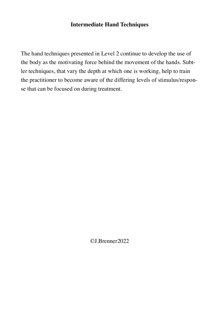#### **Intermediate Hand Techniques**

The hand techniques presented in Level 2 continue to develop the use of the body as the motivating force behind the movement of the hands. Subtler techniques, that vary the depth at which one is working, help to train the practitioner to become aware of the differing levels of stimulus/response that can be focused on during treatment.

©J.Brenner2022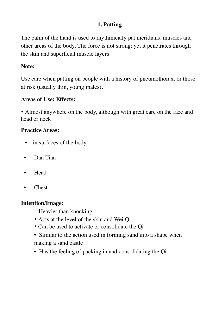## **1. Patting**

The palm of the hand is used to rhythmically pat meridians, muscles and other areas of the body. The force is not strong; yet it penetrates through the skin and superficial muscle layers.

#### **Note:**

Use care when patting on people with a history of pneumothorax, or those at risk (usually thin, young males).

#### **Areas of Use: Effects:**

• Almost anywhere on the body, although with great care on the face and head or neck.

#### **Practice Areas:**

- in surfaces of the body
- Dan Tian
- Head
- Chest

#### **Intention/Image:**

Heavier than knocking

- Acts at the level of the skin and Wei Qi
- Can be used to activate or consolidate the Qi
- Similar to the action used in forming sand into a shape when making a sand castle
- Has the feeling of packing in and consolidating the Qi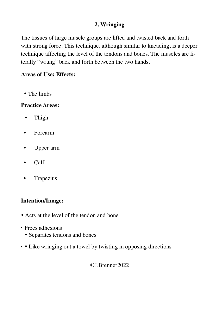## **2. Wringing**

The tissues of large muscle groups are lifted and twisted back and forth with strong force. This technique, although similar to kneading, is a deeper technique affecting the level of the tendons and bones. The muscles are literally "wrung" back and forth between the two hands.

#### **Areas of Use: Effects:**

• The limbs

#### **Practice Areas:**

- Thigh
- Forearm
- Upper arm
- Calf
- **Trapezius**

#### **Intention/Image:**

- Acts at the level of the tendon and bone
- Frees adhesions
	- Separates tendons and bones
- • Like wringing out a towel by twisting in opposing directions

©J.Brenner2022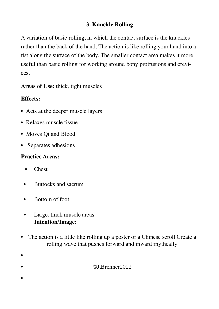## **3. Knuckle Rolling**

A variation of basic rolling, in which the contact surface is the knuckles rather than the back of the hand. The action is like rolling your hand into a fist along the surface of the body. The smaller contact area makes it more useful than basic rolling for working around bony protrusions and crevices.

**Areas of Use:** thick, tight muscles

## **Effects:**

- Acts at the deeper muscle layers
- Relaxes muscle tissue
- Moves Qi and Blood
- Separates adhesions

#### **Practice Areas:**

• Chest

•

•

- Buttocks and sacrum
- Bottom of foot
- Large, thick muscle areas **Intention/Image:**
- The action is a little like rolling up a poster or a Chinese scroll Create a rolling wave that pushes forward and inward rhythcally

• ©J.Brenner2022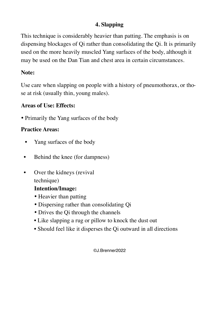## **4. Slapping**

This technique is considerably heavier than patting. The emphasis is on dispensing blockages of Qi rather than consolidating the Qi. It is primarily used on the more heavily muscled Yang surfaces of the body, although it may be used on the Dan Tian and chest area in certain circumstances.

## **Note:**

Use care when slapping on people with a history of pneumothorax, or those at risk (usually thin, young males).

#### **Areas of Use: Effects:**

• Primarily the Yang surfaces of the body

## **Practice Areas:**

- Yang surfaces of the body
- Behind the knee (for dampness)
- Over the kidneys (revival technique)

## **Intention/Image:**

- Heavier than patting
- Dispersing rather than consolidating Qi
- Drives the Qi through the channels
- Like slapping a rug or pillow to knock the dust out
- Should feel like it disperses the Qi outward in all directions

#### ©J.Brenner2022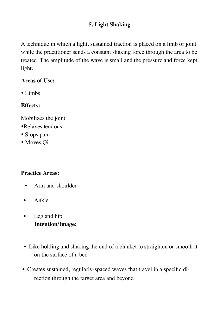## **5. Light Shaking**

A technique in which a light, sustained traction is placed on a limb or joint while the practitioner sends a constant shaking force through the area to be treated. The amplitude of the wave is small and the pressure and force kept light.

#### **Areas of Use:**

• Limbs

## **Effects:**

- Mobilizes the joint
- •Relaxes tendons
- Stops pain
- Moves Qi

#### **Practice Areas:**

- Arm and shoulder
- Ankle
- Leg and hip **Intention/Image:**
- Like holding and shaking the end of a blanket to straighten or smooth it on the surface of a bed
- Creates sustained, regularly-spaced waves that travel in a specific direction through the target area and beyond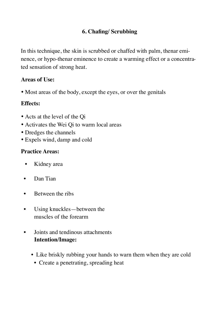## **6. Chafing/ Scrubbing**

In this technique, the skin is scrubbed or chaffed with palm, thenar eminence, or hypo-thenar eminence to create a warming effect or a concentrated sensation of strong heat.

## **Areas of Use:**

• Most areas of the body, except the eyes, or over the genitals

## **Effects:**

- Acts at the level of the Qi
- Activates the Wei Qi to warm local areas
- Dredges the channels
- Expels wind, damp and cold

## **Practice Areas:**

- Kidney area
- Dan Tian
- Between the ribs
- Using knuckles—between the muscles of the forearm
- Joints and tendinous attachments **Intention/Image:**
	- Like briskly rubbing your hands to warn them when they are cold
		- Create a penetrating, spreading heat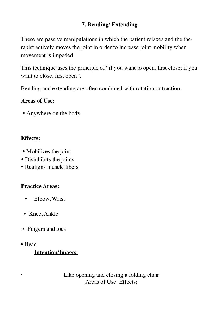## **7. Bending/ Extending**

These are passive manipulations in which the patient relaxes and the therapist actively moves the joint in order to increase joint mobility when movement is impeded.

This technique uses the principle of "if you want to open, first close; if you want to close, first open".

Bending and extending are often combined with rotation or traction.

#### **Areas of Use:**

• Anywhere on the body

## **Effects:**

- Mobilizes the joint
- Disinhibits the joints
- Realigns muscle fibers

## **Practice Areas:**

- Elbow, Wrist
- Knee, Ankle
- Fingers and toes
- Head

## **Intention/Image:**

• Like opening and closing a folding chair Areas of Use: Effects: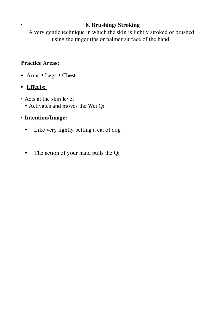#### • **8. Brushing/ Stroking**

A very gentle technique in which the skin is lightly stroked or brushed using the finger tips or palmer surface of the hand.

#### **Practice Areas:**

- Arms Legs Chest
- **Effects:**
- Acts at the skin level
	- Activates and moves the Wei Qi

## • **Intention/Image:**

- Like very lightly petting a cat of dog
- The action of your hand pulls the Qi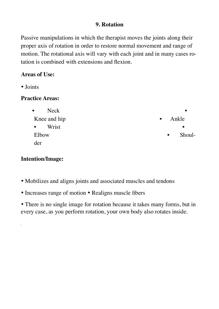## **9. Rotation**

Passive manipulations in which the therapist moves the joints along their proper axis of rotation in order to restore normal movement and range of motion. The rotational axis will vary with each joint and in many cases rotation is combined with extensions and flexion.

## **Areas of Use:**

• Joints

#### **Practice Areas:**

| Neck<br>$\bullet$  | $\bullet$           |
|--------------------|---------------------|
| Knee and hip       | Ankle<br>$\bullet$  |
| Wrist<br>$\bullet$ | $\bullet$           |
| Elbow              | Shoul-<br>$\bullet$ |
| der                |                     |

#### **Intention/Image:**

- Mobilizes and aligns joints and associated muscles and tendons
- Increases range of motion Realigns muscle fibers

• There is no single image for rotation because it takes many forms, but in every case, as you perform rotation, your own body also rotates inside.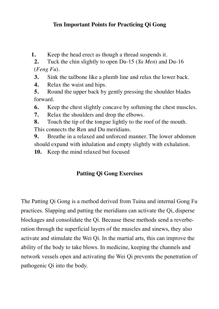## **Ten Important Points for Practicing Qi Gong**

**1.** Keep the head erect as though a thread suspends it.

**2.** Tuck the chin slightly to open Du-15 (*Ya Men*) and Du-16 (*Feng Fu*).

- **3.** Sink the tailbone like a plumb line and relax the lower back.
- **4.** Relax the waist and hips.
- **5.** Round the upper back by gently pressing the shoulder blades forward.

**6.** Keep the chest slightly concave by softening the chest muscles.

- **7.** Relax the shoulders and drop the elbows.
- **8.** Touch the tip of the tongue lightly to the roof of the mouth.

This connects the Ren and Du meridians.

**9.** Breathe in a relaxed and unforced manner. The lower abdomen should expand with inhalation and empty slightly with exhalation.

**10.** Keep the mind relaxed but focused

## **Patting Qi Gong Exercises**

The Patting Qi Gong is a method derived from Tuina and internal Gong Fu practices. Slapping and patting the meridians can activate the Qi, disperse blockages and consolidate the Qi. Because these methods send a reverberation through the superficial layers of the muscles and sinews, they also activate and stimulate the Wei Qi. In the martial arts, this can improve the ability of the body to take blows. In medicine, keeping the channels and network vessels open and activating the Wei Qi prevents the penetration of pathogenic Qi into the body.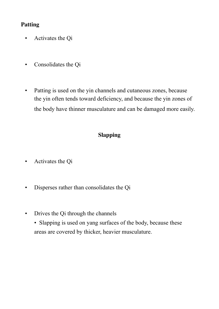## **Patting**

- Activates the Qi
- Consolidates the Qi
- Patting is used on the yin channels and cutaneous zones, because the yin often tends toward deficiency, and because the yin zones of the body have thinner musculature and can be damaged more easily.

## **Slapping**

- Activates the Qi
- Disperses rather than consolidates the Qi
- Drives the Qi through the channels
	- Slapping is used on yang surfaces of the body, because these areas are covered by thicker, heavier musculature.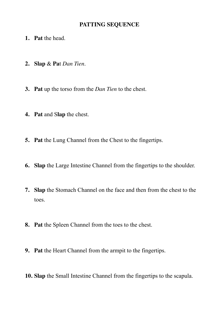#### **PATTING SEQUENCE**

- **1. Pat** the head.
- **2. Slap** & **Pa**t *Dan Tien*.
- **3. Pat** up the torso from the *Dan Tien* to the chest.
- **4. Pat** and S**lap** the chest.
- **5. Pat** the Lung Channel from the Chest to the fingertips.
- **6. Slap** the Large Intestine Channel from the fingertips to the shoulder.
- **7. Slap** the Stomach Channel on the face and then from the chest to the toes.
- **8. Pat** the Spleen Channel from the toes to the chest.
- **9. Pat** the Heart Channel from the armpit to the fingertips.
- **10. Slap** the Small Intestine Channel from the fingertips to the scapula.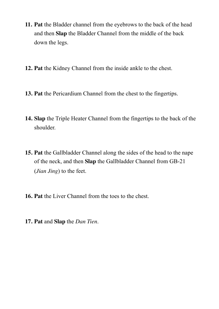- **11. Pat** the Bladder channel from the eyebrows to the back of the head and then **Slap** the Bladder Channel from the middle of the back down the legs.
- **12. Pat** the Kidney Channel from the inside ankle to the chest.
- **13. Pat** the Pericardium Channel from the chest to the fingertips.
- **14. Slap** the Triple Heater Channel from the fingertips to the back of the shoulder.
- **15. Pat** the Gallbladder Channel along the sides of the head to the nape of the neck, and then **Slap** the Gallbladder Channel from GB-21 (*Jian Jing*) to the feet.
- **16. Pat** the Liver Channel from the toes to the chest.
- **17. Pat** and **Slap** the *Dan Tien*.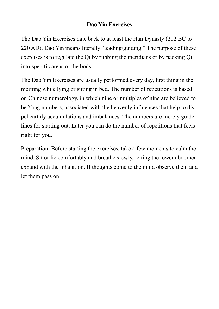## **Dao Yin Exercises**

The Dao Yin Exercises date back to at least the Han Dynasty (202 BC to 220 AD). Dao Yin means literally "leading/guiding." The purpose of these exercises is to regulate the Qi by rubbing the meridians or by packing Qi into specific areas of the body.

The Dao Yin Exercises are usually performed every day, first thing in the morning while lying or sitting in bed. The number of repetitions is based on Chinese numerology, in which nine or multiples of nine are believed to be Yang numbers, associated with the heavenly influences that help to dispel earthly accumulations and imbalances. The numbers are merely guidelines for starting out. Later you can do the number of repetitions that feels right for you.

Preparation: Before starting the exercises, take a few moments to calm the mind. Sit or lie comfortably and breathe slowly, letting the lower abdomen expand with the inhalation. If thoughts come to the mind observe them and let them pass on.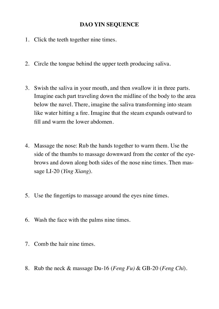#### **DAO YIN SEQUENCE**

- 1. Click the teeth together nine times.
- 2. Circle the tongue behind the upper teeth producing saliva.
- 3. Swish the saliva in your mouth, and then swallow it in three parts. Imagine each part traveling down the midline of the body to the area below the navel. There, imagine the saliva transforming into steam like water hitting a fire. Imagine that the steam expands outward to fill and warm the lower abdomen.
- 4. Massage the nose: Rub the hands together to warm them. Use the side of the thumbs to massage downward from the center of the eyebrows and down along both sides of the nose nine times. Then massage LI-20 (*Ying Xiang*).
- 5. Use the fingertips to massage around the eyes nine times.
- 6. Wash the face with the palms nine times.
- 7. Comb the hair nine times.
- 8. Rub the neck & massage Du-16 (*Feng Fu)* & GB-20 (*Feng Chi*).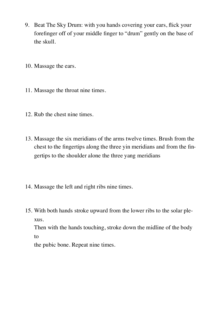- 9. Beat The Sky Drum: with you hands covering your ears, flick your forefinger off of your middle finger to "drum" gently on the base of the skull.
- 10. Massage the ears.
- 11. Massage the throat nine times.
- 12. Rub the chest nine times.
- 13. Massage the six meridians of the arms twelve times. Brush from the chest to the fingertips along the three yin meridians and from the fingertips to the shoulder alone the three yang meridians
- 14. Massage the left and right ribs nine times.
- 15. With both hands stroke upward from the lower ribs to the solar plexus.

Then with the hands touching, stroke down the midline of the body to

the pubic bone. Repeat nine times.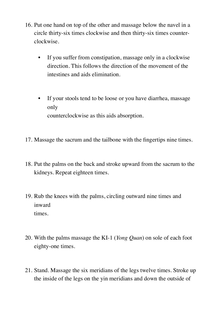- 16. Put one hand on top of the other and massage below the navel in a circle thirty-six times clockwise and then thirty-six times counterclockwise.
	- If you suffer from constipation, massage only in a clockwise direction. This follows the direction of the movement of the intestines and aids elimination.
	- If your stools tend to be loose or you have diarrhea, massage only counterclockwise as this aids absorption.
- 17. Massage the sacrum and the tailbone with the fingertips nine times.
- 18. Put the palms on the back and stroke upward from the sacrum to the kidneys. Repeat eighteen times.
- 19. Rub the knees with the palms, circling outward nine times and inward times.
- 20. With the palms massage the KI-1 (*Yong Quan*) on sole of each foot eighty-one times.
- 21. Stand. Massage the six meridians of the legs twelve times. Stroke up the inside of the legs on the yin meridians and down the outside of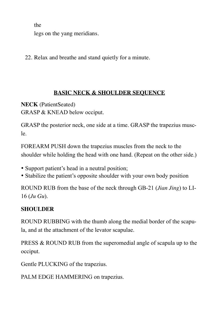the

legs on the yang meridians.

22. Relax and breathe and stand quietly for a minute.

#### **BASIC NECK & SHOULDER SEQUENCE**

**NECK** (PatientSeated) GRASP & KNEAD below occiput.

GRASP the posterior neck, one side at a time. GRASP the trapezius muscle.

FOREARM PUSH down the trapezius muscles from the neck to the shoulder while holding the head with one hand. (Repeat on the other side.)

- Support patient's head in a neutral position;
- Stabilize the patient's opposite shoulder with your own body position

ROUND RUB from the base of the neck through GB-21 (*Jian Jing*) to LI-16 (*Ju Gu*).

## **SHOULDER**

ROUND RUBBING with the thumb along the medial border of the scapula, and at the attachment of the levator scapulae.

PRESS & ROUND RUB from the superomedial angle of scapula up to the occiput.

Gentle PLUCKING of the trapezius.

PALM EDGE HAMMERING on trapezius.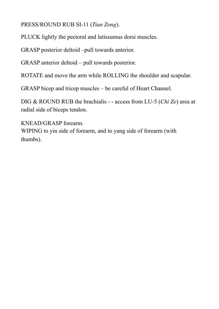PRESS/ROUND RUB SI-11 (*Tian Zong*).

PLUCK lightly the pectoral and latissumus dorsi muscles.

GRASP posterior deltoid –pull towards anterior.

GRASP anterior deltoid – pull towards posterior.

ROTATE and move the arm while ROLLING the shoulder and scapular.

GRASP bicep and tricep muscles – be careful of Heart Channel.

DIG & ROUND RUB the brachialis - - access from LU-5 (*Chi Ze*) area at radial side of biceps tendon.

KNEAD/GRASP forearm.

WIPING to yin side of forearm, and to yang side of forearm (with thumbs).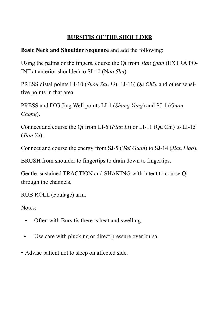## **BURSITIS OF THE SHOULDER**

**Basic Neck and Shoulder Sequence** and add the following:

Using the palms or the fingers, course the Qi from *Jian Qian* (EXTRA PO-INT at anterior shoulder) to SI-10 (N*ao Shu*)

PRESS distal points LI-10 (*Shou San Li*), LI-11( *Qu Chi*), and other sensitive points in that area.

PRESS and DIG Jing Well points LI-1 (*Shang Yang*) and SJ-1 (*Guan Chong*).

Connect and course the Qi from LI-6 (*Pian Li*) or LI-11 (Qu Chi) to LI-15 (*Jian Yu*).

Connect and course the energy from SJ-5 (*Wai Guan*) to SJ-14 (*Jian Liao*).

BRUSH from shoulder to fingertips to drain down to fingertips.

Gentle, sustained TRACTION and SHAKING with intent to course Qi through the channels.

RUB ROLL (Foulage) arm.

Notes:

- Often with Bursitis there is heat and swelling.
- Use care with plucking or direct pressure over bursa.
- Advise patient not to sleep on affected side.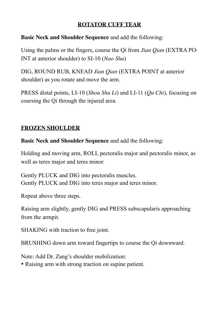#### **ROTATOR CUFF TEAR**

## **Basic Neck and Shoulder Sequence** and add the following:

Using the palms or the fingers, course the Qi from *Jian Qian* (EXTRA PO-INT at anterior shoulder) to SI-10 (*Nao Shu*)

DIG, ROUND RUB, KNEAD *Jian Qian* (EXTRA POINT at anterior shoulder) as you rotate and move the arm.

PRESS distal points, LI-10 (*Shou Shu Li*) and LI-11 (*Qu Chi*), focusing on coursing the Qi through the injured area.

## **FROZEN SHOULDER**

**Basic Neck and Shoulder Sequence** and add the following:

Holding and moving arm, ROLL pectoralis major and pectoralis minor, as well as teres major and teres minor.

Gently PLUCK and DIG into pectoralis muscles. Gently PLUCK and DIG into teres major and teres minor.

Repeat above three steps.

Raising arm slightly, gently DIG and PRESS subscapularis approaching from the armpit.

SHAKING with traction to free joint.

BRUSHING down arm toward fingertips to course the Qi downward.

Note: Add Dr. Zang's shoulder mobilization:

• Raising arm with strong traction on supine patient.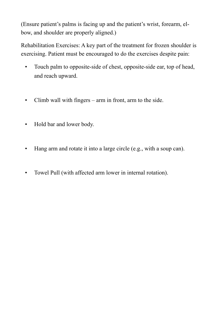(Ensure patient's palms is facing up and the patient's wrist, forearm, elbow, and shoulder are properly aligned.)

Rehabilitation Exercises: A key part of the treatment for frozen shoulder is exercising. Patient must be encouraged to do the exercises despite pain:

- Touch palm to opposite-side of chest, opposite-side ear, top of head, and reach upward.
- Climb wall with fingers arm in front, arm to the side.
- Hold bar and lower body.
- Hang arm and rotate it into a large circle (e.g., with a soup can).
- Towel Pull (with affected arm lower in internal rotation).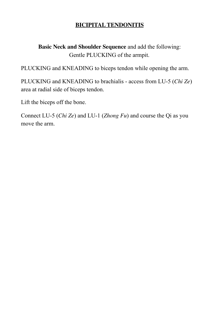## **BICIPITAL TENDONITIS**

**Basic Neck and Shoulder Sequence** and add the following: Gentle PLUCKING of the armpit.

PLUCKING and KNEADING to biceps tendon while opening the arm.

PLUCKING and KNEADING to brachialis - access from LU-5 (*Chi Ze*) area at radial side of biceps tendon.

Lift the biceps off the bone.

Connect LU-5 (*Chi Ze*) and LU-1 (*Zhong Fu*) and course the Qi as you move the arm.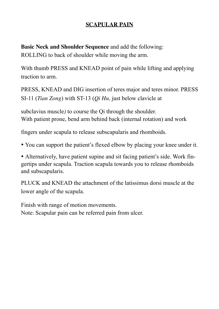## **SCAPULAR PAIN**

**Basic Neck and Shoulder Sequence** and add the following: ROLLING to back of shoulder while moving the arm.

With thumb PRESS and KNEAD point of pain while lifting and applying traction to arm.

PRESS, KNEAD and DIG insertion of teres major and teres minor. PRESS SI-11 (*Tian Zong*) with ST-13 (*Qi Hu,* just below clavicle at

subclavius muscle*)* to course the Qi through the shoulder. With patient prone, bend arm behind back (internal rotation) and work

fingers under scapula to release subscapularis and rhomboids.

• You can support the patient's flexed elbow by placing your knee under it.

• Alternatively, have patient supine and sit facing patient's side. Work fingertips under scapula. Traction scapula towards you to release rhomboids and subscapularis.

PLUCK and KNEAD the attachment of the latissimus dorsi muscle at the lower angle of the scapula.

Finish with range of motion movements. Note: Scapular pain can be referred pain from ulcer.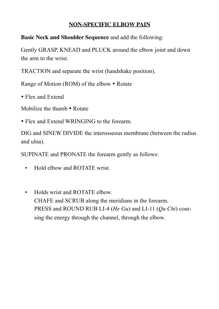## **NON-SPECIFIC ELBOW PAIN**

**Basic Neck and Shoulder Sequence** and add the following:

Gently GRASP, KNEAD and PLUCK around the elbow joint and down the arm to the wrist.

TRACTION and separate the wrist (handshake position).

Range of Motion (ROM) of the elbow • Rotate

• Flex and Extend

Mobilize the thumb • Rotate

• Flex and Extend WRINGING to the forearm.

DIG and SINEW DIVIDE the interosseous membrane (between the radius and ulna).

SUPINATE and PRONATE the forearm gently as follows:

- Hold elbow and ROTATE wrist.
- Holds wrist and ROTATE elbow. CHAFE and SCRUB along the meridians in the forearm. PRESS and ROUND RUB LI-4 (*He Gu*) and LI-11 (*Qu Chi*) coursing the energy through the channel, through the elbow.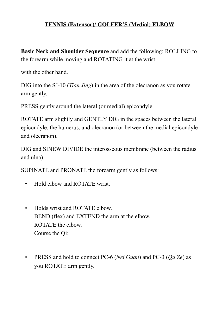## **TENNIS (Extensor)/ GOLFER'S (Medial) ELBOW**

**Basic Neck and Shoulder Sequence** and add the following: ROLLING to the forearm while moving and ROTATING it at the wrist

with the other hand.

DIG into the SJ-10 (*Tian Jing*) in the area of the olecranon as you rotate arm gently.

PRESS gently around the lateral (or medial) epicondyle.

ROTATE arm slightly and GENTLY DIG in the spaces between the lateral epicondyle, the humerus, and olecranon (or between the medial epicondyle and olecranon).

DIG and SINEW DIVIDE the interosseous membrane (between the radius and ulna).

SUPINATE and PRONATE the forearm gently as follows:

- Hold elbow and ROTATE wrist.
- Holds wrist and ROTATE elbow. BEND (flex) and EXTEND the arm at the elbow. ROTATE the elbow. Course the Qi:
- PRESS and hold to connect PC-6 (*Nei Guan*) and PC-3 (*Qu Ze*) as you ROTATE arm gently.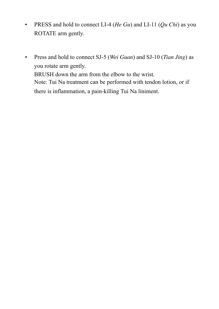- PRESS and hold to connect LI-4 (*He Gu*) and LI-11 (*Qu Chi*) as you ROTATE arm gently.
- Press and hold to connect SJ-5 (*Wei Guan*) and SJ-10 (*Tian Jing*) as you rotate arm gently. BRUSH down the arm from the elbow to the wrist. Note: Tui Na treatment can be performed with tendon lotion, or if there is inflammation, a pain-killing Tui Na liniment.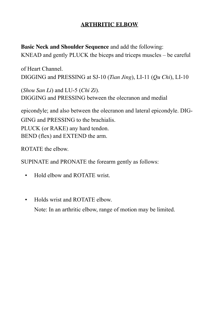## **ARTHRITIC ELBOW**

**Basic Neck and Shoulder Sequence** and add the following: KNEAD and gently PLUCK the biceps and triceps muscles – be careful

of Heart Channel. DIGGING and PRESSING at SJ-10 (*Tian Jing*), LI-11 (*Qu Chi*), LI-10

(*Shou San Li*) and LU-5 (*Chi Zi*). DIGGING and PRESSING between the olecranon and medial

epicondyle; and also between the olecranon and lateral epicondyle. DIG-GING and PRESSING to the brachialis. PLUCK (or RAKE) any hard tendon. BEND (flex) and EXTEND the arm.

ROTATE the elbow.

SUPINATE and PRONATE the forearm gently as follows:

- Hold elbow and ROTATE wrist.
- Holds wrist and ROTATE elbow. Note: In an arthritic elbow, range of motion may be limited.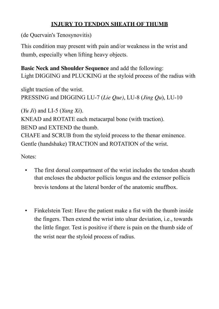## **INJURY TO TENDON SHEATH OF THUMB**

(de Quervain's Tenosynovitis)

This condition may present with pain and/or weakness in the wrist and thumb, especially when lifting heavy objects.

**Basic Neck and Shoulder Sequence** and add the following: Light DIGGING and PLUCKING at the styloid process of the radius with

slight traction of the wrist. PRESSING and DIGGING LU-7 (*Lie Que)*, LU-8 (*Jing Qu*), LU-10

(*Yu Ji*) and LI-5 (*Yang Xi*). KNEAD and ROTATE each metacarpal bone (with traction). BEND and EXTEND the thumb. CHAFE and SCRUB from the styloid process to the thenar eminence. Gentle (handshake) TRACTION and ROTATION of the wrist.

Notes:

- The first dorsal compartment of the wrist includes the tendon sheath that encloses the abductor pollicis longus and the extensor pollicis brevis tendons at the lateral border of the anatomic snuffbox.
- Finkelstein Test: Have the patient make a fist with the thumb inside the fingers. Then extend the wrist into ulnar deviation, i.e., towards the little finger. Test is positive if there is pain on the thumb side of the wrist near the styloid process of radius.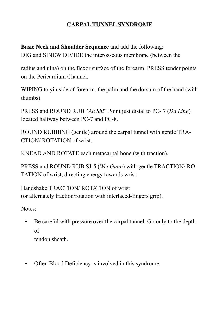## **CARPAL TUNNEL SYNDROME**

**Basic Neck and Shoulder Sequence** and add the following: DIG and SINEW DIVIDE the interosseous membrane (between the

radius and ulna) on the flexor surface of the forearm. PRESS tender points on the Pericardium Channel.

WIPING to yin side of forearm, the palm and the dorsum of the hand (with thumbs).

PRESS and ROUND RUB "*Ah Shi*" Point just distal to PC- 7 (*Da Ling*) located halfway between PC-7 and PC-8.

ROUND RUBBING (gentle) around the carpal tunnel with gentle TRA-CTION/ ROTATION of wrist.

KNEAD AND ROTATE each metacarpal bone (with traction).

PRESS and ROUND RUB SJ-5 (*Wei Guan*) with gentle TRACTION/ RO-TATION of wrist, directing energy towards wrist.

Handshake TRACTION/ ROTATION of wrist (or alternately traction/rotation with interlaced-fingers grip).

Notes:

 • Be careful with pressure over the carpal tunnel. Go only to the depth of

tendon sheath.

• Often Blood Deficiency is involved in this syndrome.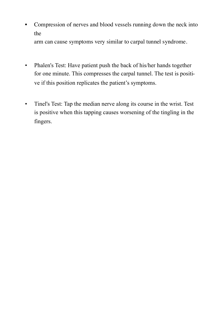• Compression of nerves and blood vessels running down the neck into the

arm can cause symptoms very similar to carpal tunnel syndrome.

- Phalen's Test: Have patient push the back of his/her hands together for one minute. This compresses the carpal tunnel. The test is positive if this position replicates the patient's symptoms.
- Tinel's Test: Tap the median nerve along its course in the wrist. Test is positive when this tapping causes worsening of the tingling in the fingers.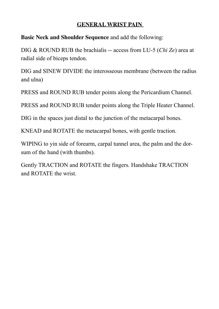#### **GENERAL WRIST PAIN**

**Basic Neck and Shoulder Sequence** and add the following:

DIG & ROUND RUB the brachialis -- access from LU-5 (*Chi Ze*) area at radial side of biceps tendon.

DIG and SINEW DIVIDE the interosseous membrane (between the radius and ulna)

PRESS and ROUND RUB tender points along the Pericardium Channel.

PRESS and ROUND RUB tender points along the Triple Heater Channel.

DIG in the spaces just distal to the junction of the metacarpal bones.

KNEAD and ROTATE the metacarpal bones, with gentle traction.

WIPING to yin side of forearm, carpal tunnel area, the palm and the dorsum of the hand (with thumbs).

Gently TRACTION and ROTATE the fingers. Handshake TRACTION and ROTATE the wrist.